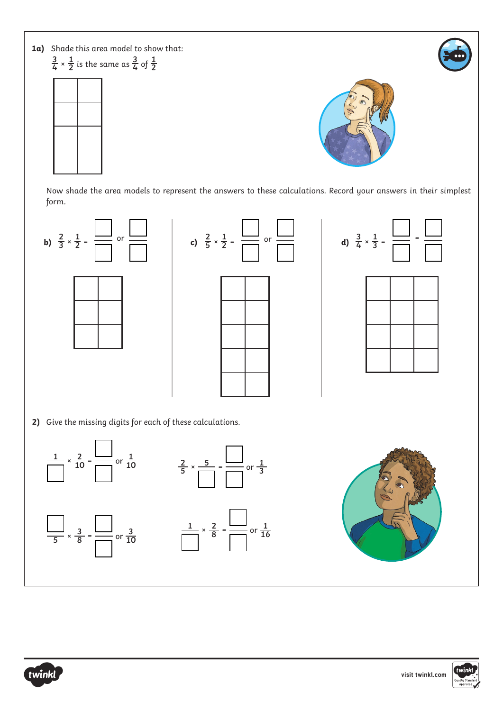



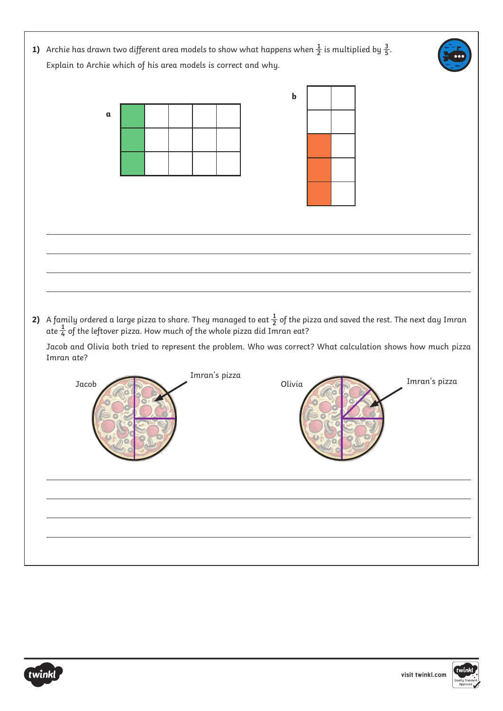